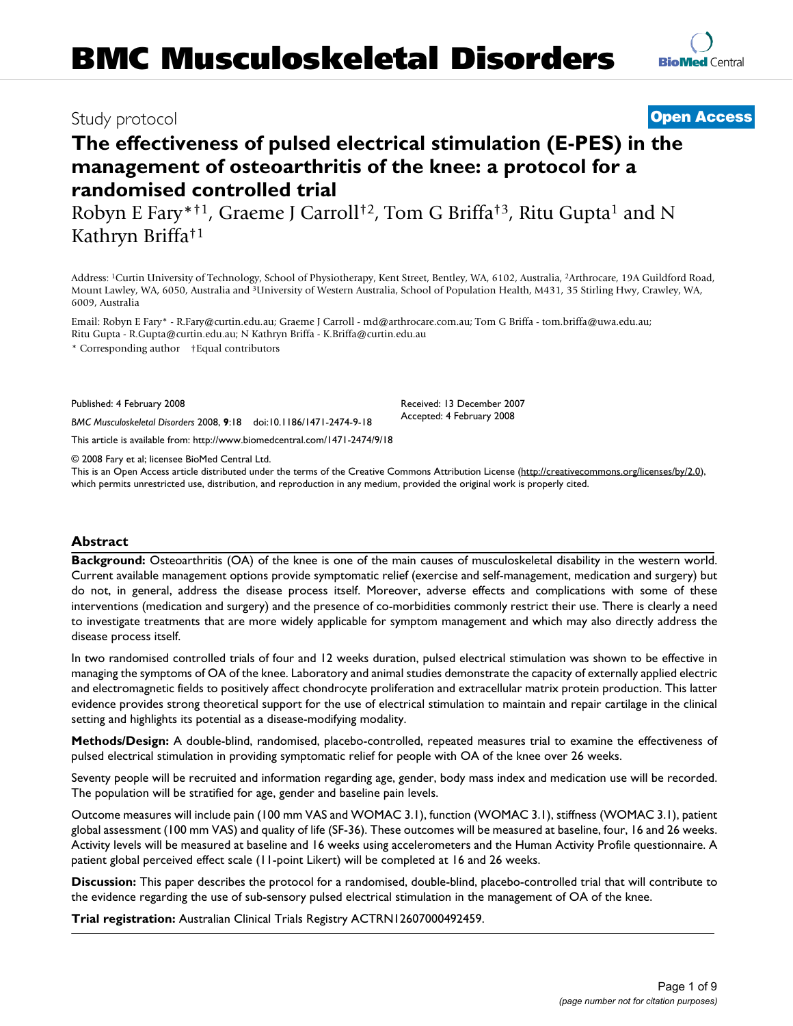# Study protocol **[Open Access](http://www.biomedcentral.com/info/about/charter/)**

# **The effectiveness of pulsed electrical stimulation (E-PES) in the management of osteoarthritis of the knee: a protocol for a randomised controlled trial**

Robyn E Fary\*<sup>†1</sup>, Graeme J Carroll<sup>†2</sup>, Tom G Briffa<sup>†3</sup>, Ritu Gupta<sup>1</sup> and N Kathryn Briffa†1

Address: 1Curtin University of Technology, School of Physiotherapy, Kent Street, Bentley, WA, 6102, Australia, 2Arthrocare, 19A Guildford Road, Mount Lawley, WA, 6050, Australia and 3University of Western Australia, School of Population Health, M431, 35 Stirling Hwy, Crawley, WA, 6009, Australia

Email: Robyn E Fary\* - R.Fary@curtin.edu.au; Graeme J Carroll - md@arthrocare.com.au; Tom G Briffa - tom.briffa@uwa.edu.au; Ritu Gupta - R.Gupta@curtin.edu.au; N Kathryn Briffa - K.Briffa@curtin.edu.au

\* Corresponding author †Equal contributors

Published: 4 February 2008

*BMC Musculoskeletal Disorders* 2008, **9**:18 doi:10.1186/1471-2474-9-18

[This article is available from: http://www.biomedcentral.com/1471-2474/9/18](http://www.biomedcentral.com/1471-2474/9/18)

© 2008 Fary et al; licensee BioMed Central Ltd.

This is an Open Access article distributed under the terms of the Creative Commons Attribution License [\(http://creativecommons.org/licenses/by/2.0\)](http://creativecommons.org/licenses/by/2.0), which permits unrestricted use, distribution, and reproduction in any medium, provided the original work is properly cited.

### **Abstract**

**Background:** Osteoarthritis (OA) of the knee is one of the main causes of musculoskeletal disability in the western world. Current available management options provide symptomatic relief (exercise and self-management, medication and surgery) but do not, in general, address the disease process itself. Moreover, adverse effects and complications with some of these interventions (medication and surgery) and the presence of co-morbidities commonly restrict their use. There is clearly a need to investigate treatments that are more widely applicable for symptom management and which may also directly address the disease process itself.

In two randomised controlled trials of four and 12 weeks duration, pulsed electrical stimulation was shown to be effective in managing the symptoms of OA of the knee. Laboratory and animal studies demonstrate the capacity of externally applied electric and electromagnetic fields to positively affect chondrocyte proliferation and extracellular matrix protein production. This latter evidence provides strong theoretical support for the use of electrical stimulation to maintain and repair cartilage in the clinical setting and highlights its potential as a disease-modifying modality.

**Methods/Design:** A double-blind, randomised, placebo-controlled, repeated measures trial to examine the effectiveness of pulsed electrical stimulation in providing symptomatic relief for people with OA of the knee over 26 weeks.

Seventy people will be recruited and information regarding age, gender, body mass index and medication use will be recorded. The population will be stratified for age, gender and baseline pain levels.

Outcome measures will include pain (100 mm VAS and WOMAC 3.1), function (WOMAC 3.1), stiffness (WOMAC 3.1), patient global assessment (100 mm VAS) and quality of life (SF-36). These outcomes will be measured at baseline, four, 16 and 26 weeks. Activity levels will be measured at baseline and 16 weeks using accelerometers and the Human Activity Profile questionnaire. A patient global perceived effect scale (11-point Likert) will be completed at 16 and 26 weeks.

**Discussion:** This paper describes the protocol for a randomised, double-blind, placebo-controlled trial that will contribute to the evidence regarding the use of sub-sensory pulsed electrical stimulation in the management of OA of the knee.

**Trial registration:** Australian Clinical Trials Registry ACTRN12607000492459.

Received: 13 December 2007 Accepted: 4 February 2008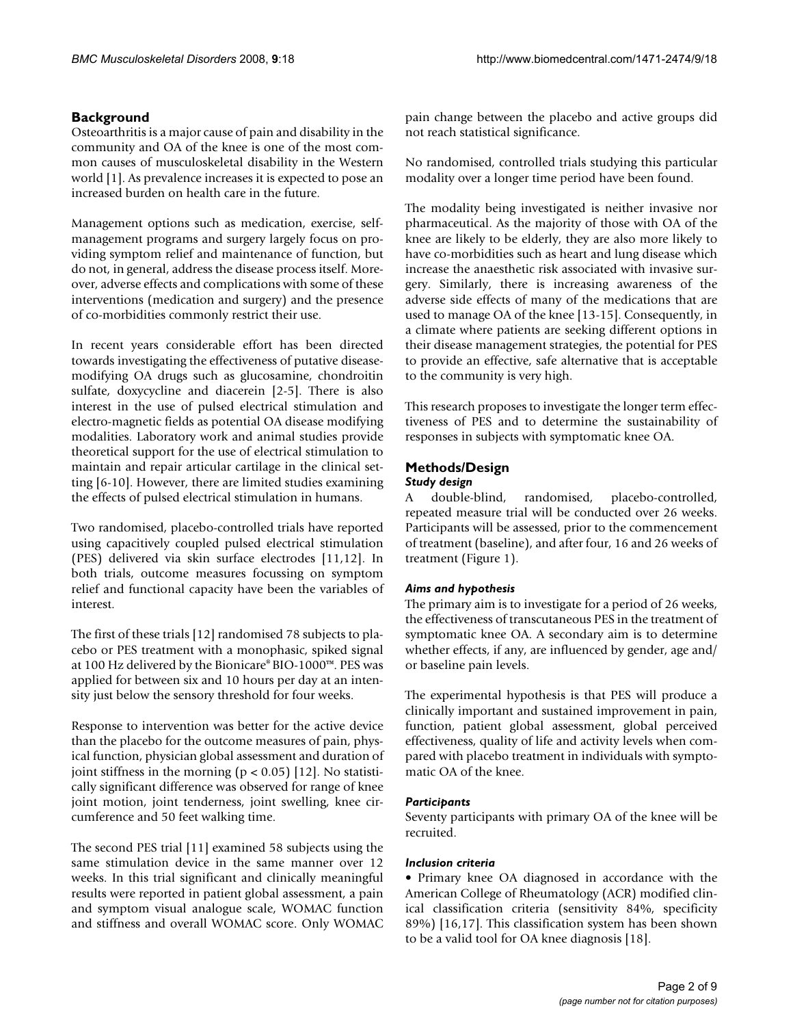#### **Background**

Osteoarthritis is a major cause of pain and disability in the community and OA of the knee is one of the most common causes of musculoskeletal disability in the Western world [1]. As prevalence increases it is expected to pose an increased burden on health care in the future.

Management options such as medication, exercise, selfmanagement programs and surgery largely focus on providing symptom relief and maintenance of function, but do not, in general, address the disease process itself. Moreover, adverse effects and complications with some of these interventions (medication and surgery) and the presence of co-morbidities commonly restrict their use.

In recent years considerable effort has been directed towards investigating the effectiveness of putative diseasemodifying OA drugs such as glucosamine, chondroitin sulfate, doxycycline and diacerein [2-5]. There is also interest in the use of pulsed electrical stimulation and electro-magnetic fields as potential OA disease modifying modalities. Laboratory work and animal studies provide theoretical support for the use of electrical stimulation to maintain and repair articular cartilage in the clinical setting [6-10]. However, there are limited studies examining the effects of pulsed electrical stimulation in humans.

Two randomised, placebo-controlled trials have reported using capacitively coupled pulsed electrical stimulation (PES) delivered via skin surface electrodes [11,12]. In both trials, outcome measures focussing on symptom relief and functional capacity have been the variables of interest.

The first of these trials [12] randomised 78 subjects to placebo or PES treatment with a monophasic, spiked signal at 100 Hz delivered by the Bionicare® BIO-1000™. PES was applied for between six and 10 hours per day at an intensity just below the sensory threshold for four weeks.

Response to intervention was better for the active device than the placebo for the outcome measures of pain, physical function, physician global assessment and duration of joint stiffness in the morning  $(p < 0.05)$  [12]. No statistically significant difference was observed for range of knee joint motion, joint tenderness, joint swelling, knee circumference and 50 feet walking time.

The second PES trial [11] examined 58 subjects using the same stimulation device in the same manner over 12 weeks. In this trial significant and clinically meaningful results were reported in patient global assessment, a pain and symptom visual analogue scale, WOMAC function and stiffness and overall WOMAC score. Only WOMAC pain change between the placebo and active groups did not reach statistical significance.

No randomised, controlled trials studying this particular modality over a longer time period have been found.

The modality being investigated is neither invasive nor pharmaceutical. As the majority of those with OA of the knee are likely to be elderly, they are also more likely to have co-morbidities such as heart and lung disease which increase the anaesthetic risk associated with invasive surgery. Similarly, there is increasing awareness of the adverse side effects of many of the medications that are used to manage OA of the knee [13-15]. Consequently, in a climate where patients are seeking different options in their disease management strategies, the potential for PES to provide an effective, safe alternative that is acceptable to the community is very high.

This research proposes to investigate the longer term effectiveness of PES and to determine the sustainability of responses in subjects with symptomatic knee OA.

## **Methods/Design**

#### *Study design*

A double-blind, randomised, placebo-controlled, repeated measure trial will be conducted over 26 weeks. Participants will be assessed, prior to the commencement of treatment (baseline), and after four, 16 and 26 weeks of treatment (Figure 1).

#### *Aims and hypothesis*

The primary aim is to investigate for a period of 26 weeks, the effectiveness of transcutaneous PES in the treatment of symptomatic knee OA. A secondary aim is to determine whether effects, if any, are influenced by gender, age and/ or baseline pain levels.

The experimental hypothesis is that PES will produce a clinically important and sustained improvement in pain, function, patient global assessment, global perceived effectiveness, quality of life and activity levels when compared with placebo treatment in individuals with symptomatic OA of the knee.

#### *Participants*

Seventy participants with primary OA of the knee will be recruited.

#### *Inclusion criteria*

• Primary knee OA diagnosed in accordance with the American College of Rheumatology (ACR) modified clinical classification criteria (sensitivity 84%, specificity 89%) [16,17]. This classification system has been shown to be a valid tool for OA knee diagnosis [18].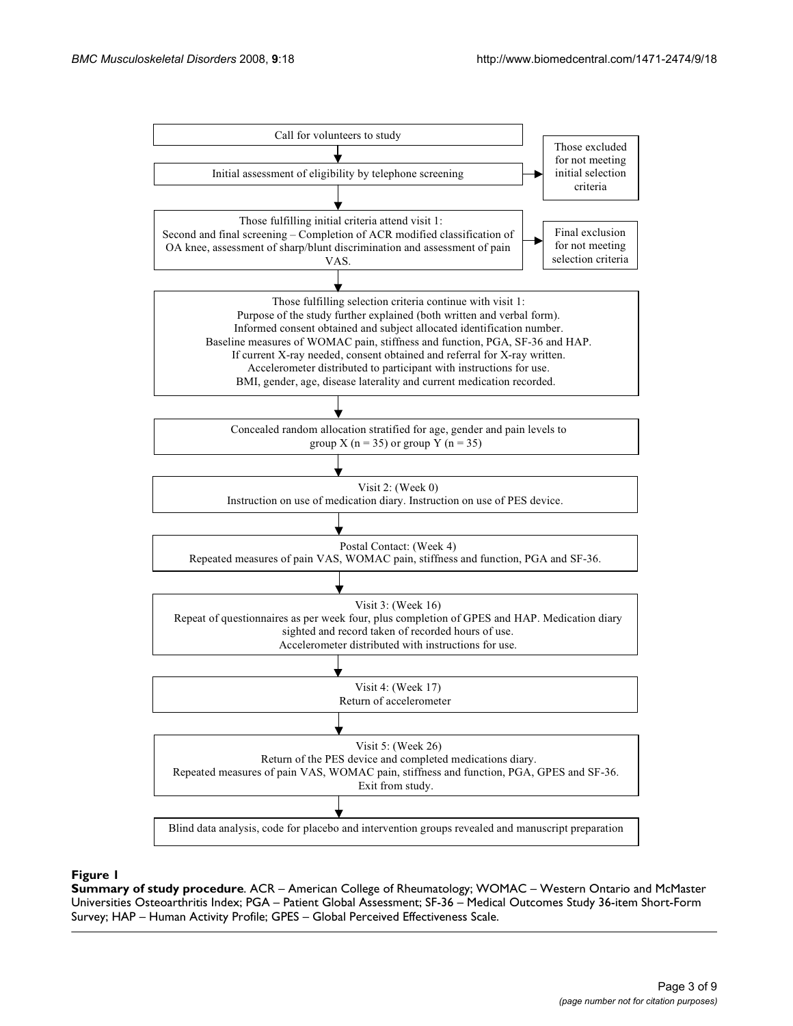

#### **Figure 1**

**Summary of study procedure**. ACR – American College of Rheumatology; WOMAC – Western Ontario and McMaster Universities Osteoarthritis Index; PGA – Patient Global Assessment; SF-36 – Medical Outcomes Study 36-item Short-Form Survey; HAP – Human Activity Profile; GPES – Global Perceived Effectiveness Scale.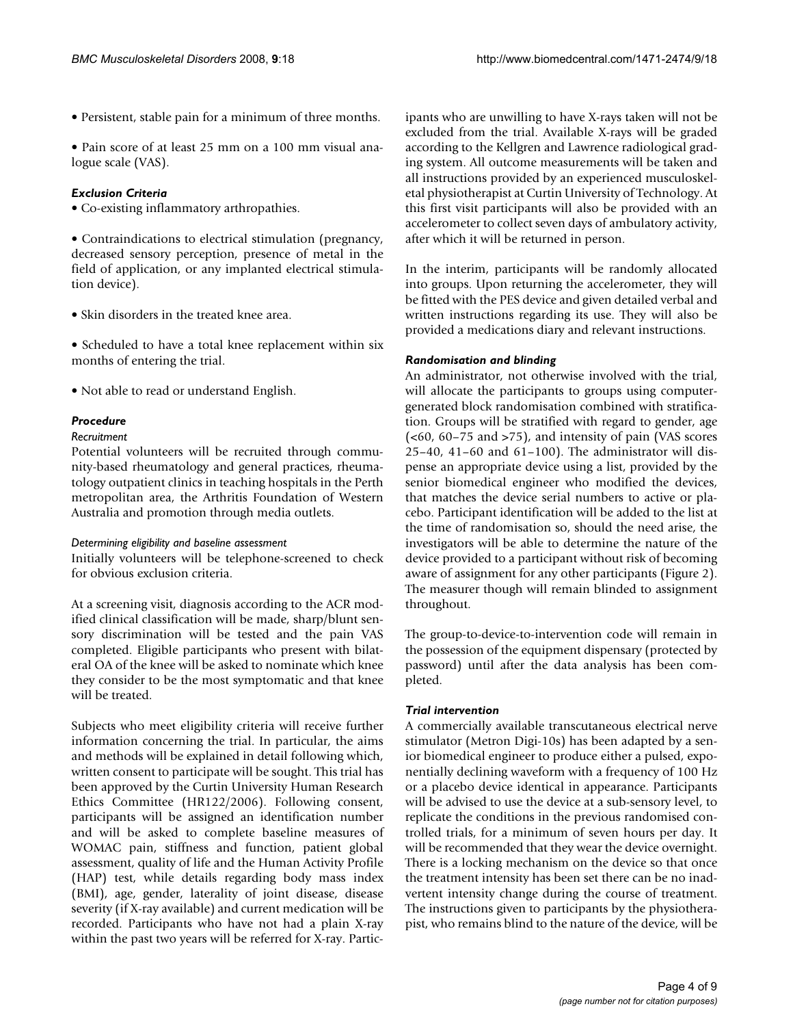• Persistent, stable pain for a minimum of three months.

• Pain score of at least 25 mm on a 100 mm visual analogue scale (VAS).

#### *Exclusion Criteria*

• Co-existing inflammatory arthropathies.

• Contraindications to electrical stimulation (pregnancy, decreased sensory perception, presence of metal in the field of application, or any implanted electrical stimulation device).

• Skin disorders in the treated knee area.

• Scheduled to have a total knee replacement within six months of entering the trial.

• Not able to read or understand English.

#### *Procedure*

#### *Recruitment*

Potential volunteers will be recruited through community-based rheumatology and general practices, rheumatology outpatient clinics in teaching hospitals in the Perth metropolitan area, the Arthritis Foundation of Western Australia and promotion through media outlets.

#### *Determining eligibility and baseline assessment*

Initially volunteers will be telephone-screened to check for obvious exclusion criteria.

At a screening visit, diagnosis according to the ACR modified clinical classification will be made, sharp/blunt sensory discrimination will be tested and the pain VAS completed. Eligible participants who present with bilateral OA of the knee will be asked to nominate which knee they consider to be the most symptomatic and that knee will be treated.

Subjects who meet eligibility criteria will receive further information concerning the trial. In particular, the aims and methods will be explained in detail following which, written consent to participate will be sought. This trial has been approved by the Curtin University Human Research Ethics Committee (HR122/2006). Following consent, participants will be assigned an identification number and will be asked to complete baseline measures of WOMAC pain, stiffness and function, patient global assessment, quality of life and the Human Activity Profile (HAP) test, while details regarding body mass index (BMI), age, gender, laterality of joint disease, disease severity (if X-ray available) and current medication will be recorded. Participants who have not had a plain X-ray within the past two years will be referred for X-ray. Participants who are unwilling to have X-rays taken will not be excluded from the trial. Available X-rays will be graded according to the Kellgren and Lawrence radiological grading system. All outcome measurements will be taken and all instructions provided by an experienced musculoskeletal physiotherapist at Curtin University of Technology. At this first visit participants will also be provided with an accelerometer to collect seven days of ambulatory activity, after which it will be returned in person.

In the interim, participants will be randomly allocated into groups. Upon returning the accelerometer, they will be fitted with the PES device and given detailed verbal and written instructions regarding its use. They will also be provided a medications diary and relevant instructions.

#### *Randomisation and blinding*

An administrator, not otherwise involved with the trial, will allocate the participants to groups using computergenerated block randomisation combined with stratification. Groups will be stratified with regard to gender, age (<60, 60–75 and >75), and intensity of pain (VAS scores 25–40, 41–60 and 61–100). The administrator will dispense an appropriate device using a list, provided by the senior biomedical engineer who modified the devices, that matches the device serial numbers to active or placebo. Participant identification will be added to the list at the time of randomisation so, should the need arise, the investigators will be able to determine the nature of the device provided to a participant without risk of becoming aware of assignment for any other participants (Figure 2). The measurer though will remain blinded to assignment throughout.

The group-to-device-to-intervention code will remain in the possession of the equipment dispensary (protected by password) until after the data analysis has been completed.

#### *Trial intervention*

A commercially available transcutaneous electrical nerve stimulator (Metron Digi-10s) has been adapted by a senior biomedical engineer to produce either a pulsed, exponentially declining waveform with a frequency of 100 Hz or a placebo device identical in appearance. Participants will be advised to use the device at a sub-sensory level, to replicate the conditions in the previous randomised controlled trials, for a minimum of seven hours per day. It will be recommended that they wear the device overnight. There is a locking mechanism on the device so that once the treatment intensity has been set there can be no inadvertent intensity change during the course of treatment. The instructions given to participants by the physiotherapist, who remains blind to the nature of the device, will be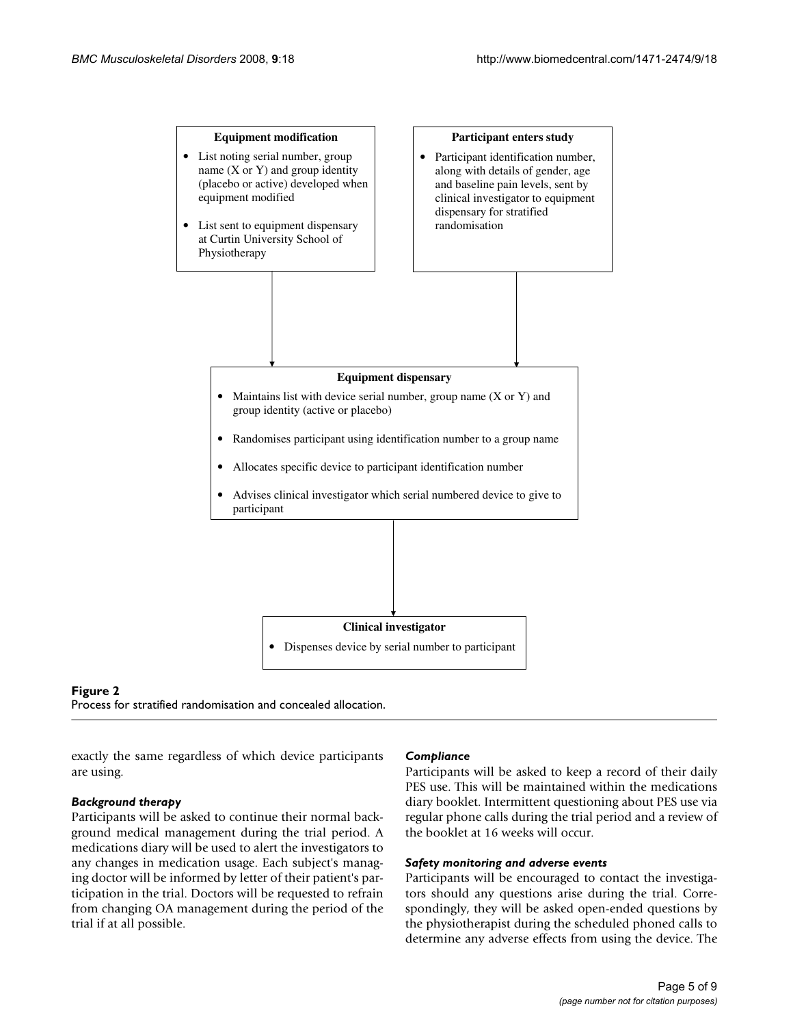

#### **Figure 2**

Process for stratified randomisation and concealed allocation.

exactly the same regardless of which device participants are using.

#### *Background therapy*

Participants will be asked to continue their normal background medical management during the trial period. A medications diary will be used to alert the investigators to any changes in medication usage. Each subject's managing doctor will be informed by letter of their patient's participation in the trial. Doctors will be requested to refrain from changing OA management during the period of the trial if at all possible.

#### *Compliance*

Participants will be asked to keep a record of their daily PES use. This will be maintained within the medications diary booklet. Intermittent questioning about PES use via regular phone calls during the trial period and a review of the booklet at 16 weeks will occur.

#### *Safety monitoring and adverse events*

Participants will be encouraged to contact the investigators should any questions arise during the trial. Correspondingly, they will be asked open-ended questions by the physiotherapist during the scheduled phoned calls to determine any adverse effects from using the device. The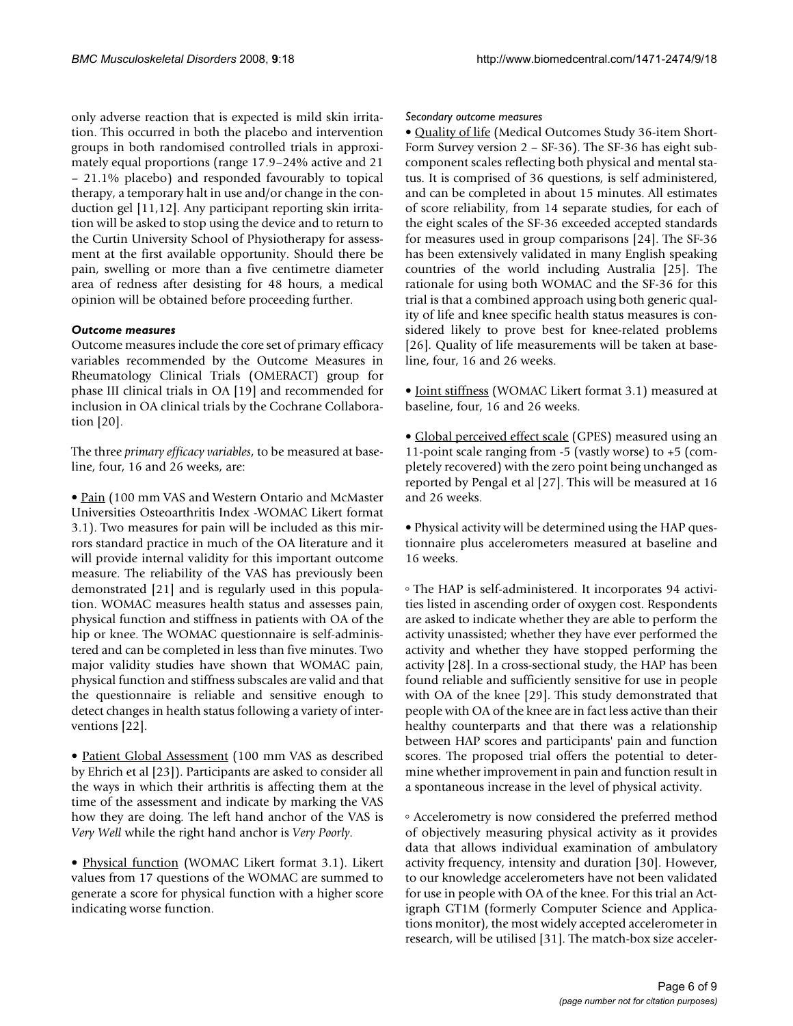only adverse reaction that is expected is mild skin irritation. This occurred in both the placebo and intervention groups in both randomised controlled trials in approximately equal proportions (range 17.9–24% active and 21 – 21.1% placebo) and responded favourably to topical therapy, a temporary halt in use and/or change in the conduction gel [11,12]. Any participant reporting skin irritation will be asked to stop using the device and to return to the Curtin University School of Physiotherapy for assessment at the first available opportunity. Should there be pain, swelling or more than a five centimetre diameter area of redness after desisting for 48 hours, a medical opinion will be obtained before proceeding further.

#### *Outcome measures*

Outcome measures include the core set of primary efficacy variables recommended by the Outcome Measures in Rheumatology Clinical Trials (OMERACT) group for phase III clinical trials in OA [19] and recommended for inclusion in OA clinical trials by the Cochrane Collaboration [20].

The three *primary efficacy variables*, to be measured at baseline, four, 16 and 26 weeks, are:

• Pain (100 mm VAS and Western Ontario and McMaster Universities Osteoarthritis Index -WOMAC Likert format 3.1). Two measures for pain will be included as this mirrors standard practice in much of the OA literature and it will provide internal validity for this important outcome measure. The reliability of the VAS has previously been demonstrated [21] and is regularly used in this population. WOMAC measures health status and assesses pain, physical function and stiffness in patients with OA of the hip or knee. The WOMAC questionnaire is self-administered and can be completed in less than five minutes. Two major validity studies have shown that WOMAC pain, physical function and stiffness subscales are valid and that the questionnaire is reliable and sensitive enough to detect changes in health status following a variety of interventions [22].

• Patient Global Assessment (100 mm VAS as described by Ehrich et al [23]). Participants are asked to consider all the ways in which their arthritis is affecting them at the time of the assessment and indicate by marking the VAS how they are doing. The left hand anchor of the VAS is *Very Well* while the right hand anchor is *Very Poorly*.

• Physical function (WOMAC Likert format 3.1). Likert values from 17 questions of the WOMAC are summed to generate a score for physical function with a higher score indicating worse function.

#### *Secondary outcome measures*

• Quality of life (Medical Outcomes Study 36-item Short-Form Survey version 2 – SF-36). The SF-36 has eight subcomponent scales reflecting both physical and mental status. It is comprised of 36 questions, is self administered, and can be completed in about 15 minutes. All estimates of score reliability, from 14 separate studies, for each of the eight scales of the SF-36 exceeded accepted standards for measures used in group comparisons [24]. The SF-36 has been extensively validated in many English speaking countries of the world including Australia [25]. The rationale for using both WOMAC and the SF-36 for this trial is that a combined approach using both generic quality of life and knee specific health status measures is considered likely to prove best for knee-related problems [26]. Quality of life measurements will be taken at baseline, four, 16 and 26 weeks.

• Joint stiffness (WOMAC Likert format 3.1) measured at baseline, four, 16 and 26 weeks.

• Global perceived effect scale (GPES) measured using an 11-point scale ranging from -5 (vastly worse) to +5 (completely recovered) with the zero point being unchanged as reported by Pengal et al [27]. This will be measured at 16 and 26 weeks.

• Physical activity will be determined using the HAP questionnaire plus accelerometers measured at baseline and 16 weeks.

- The HAP is self-administered. It incorporates 94 activities listed in ascending order of oxygen cost. Respondents are asked to indicate whether they are able to perform the activity unassisted; whether they have ever performed the activity and whether they have stopped performing the activity [28]. In a cross-sectional study, the HAP has been found reliable and sufficiently sensitive for use in people with OA of the knee [29]. This study demonstrated that people with OA of the knee are in fact less active than their healthy counterparts and that there was a relationship between HAP scores and participants' pain and function scores. The proposed trial offers the potential to determine whether improvement in pain and function result in a spontaneous increase in the level of physical activity.

- Accelerometry is now considered the preferred method of objectively measuring physical activity as it provides data that allows individual examination of ambulatory activity frequency, intensity and duration [30]. However, to our knowledge accelerometers have not been validated for use in people with OA of the knee. For this trial an Actigraph GT1M (formerly Computer Science and Applications monitor), the most widely accepted accelerometer in research, will be utilised [31]. The match-box size acceler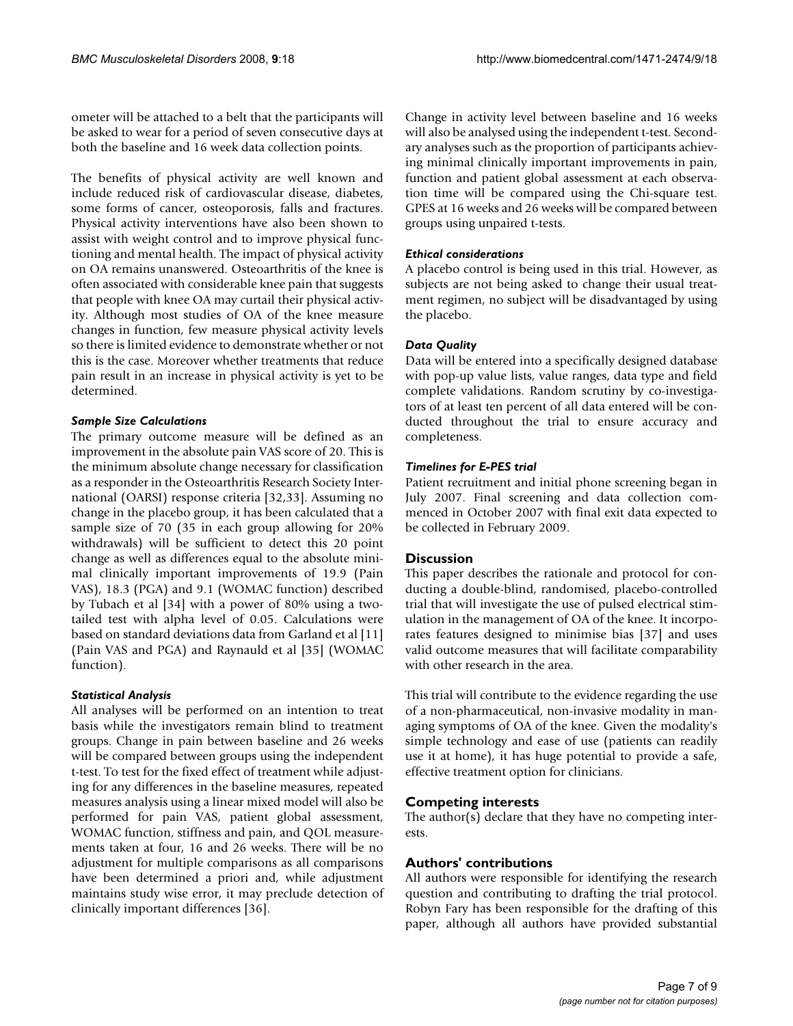ometer will be attached to a belt that the participants will be asked to wear for a period of seven consecutive days at both the baseline and 16 week data collection points.

The benefits of physical activity are well known and include reduced risk of cardiovascular disease, diabetes, some forms of cancer, osteoporosis, falls and fractures. Physical activity interventions have also been shown to assist with weight control and to improve physical functioning and mental health. The impact of physical activity on OA remains unanswered. Osteoarthritis of the knee is often associated with considerable knee pain that suggests that people with knee OA may curtail their physical activity. Although most studies of OA of the knee measure changes in function, few measure physical activity levels so there is limited evidence to demonstrate whether or not this is the case. Moreover whether treatments that reduce pain result in an increase in physical activity is yet to be determined.

#### *Sample Size Calculations*

The primary outcome measure will be defined as an improvement in the absolute pain VAS score of 20. This is the minimum absolute change necessary for classification as a responder in the Osteoarthritis Research Society International (OARSI) response criteria [32,33]. Assuming no change in the placebo group, it has been calculated that a sample size of 70 (35 in each group allowing for 20% withdrawals) will be sufficient to detect this 20 point change as well as differences equal to the absolute minimal clinically important improvements of 19.9 (Pain VAS), 18.3 (PGA) and 9.1 (WOMAC function) described by Tubach et al [34] with a power of 80% using a twotailed test with alpha level of 0.05. Calculations were based on standard deviations data from Garland et al [11] (Pain VAS and PGA) and Raynauld et al [35] (WOMAC function).

### *Statistical Analysis*

All analyses will be performed on an intention to treat basis while the investigators remain blind to treatment groups. Change in pain between baseline and 26 weeks will be compared between groups using the independent t-test. To test for the fixed effect of treatment while adjusting for any differences in the baseline measures, repeated measures analysis using a linear mixed model will also be performed for pain VAS, patient global assessment, WOMAC function, stiffness and pain, and QOL measurements taken at four, 16 and 26 weeks. There will be no adjustment for multiple comparisons as all comparisons have been determined a priori and, while adjustment maintains study wise error, it may preclude detection of clinically important differences [36].

Change in activity level between baseline and 16 weeks will also be analysed using the independent t-test. Secondary analyses such as the proportion of participants achieving minimal clinically important improvements in pain, function and patient global assessment at each observation time will be compared using the Chi-square test. GPES at 16 weeks and 26 weeks will be compared between groups using unpaired t-tests.

### *Ethical considerations*

A placebo control is being used in this trial. However, as subjects are not being asked to change their usual treatment regimen, no subject will be disadvantaged by using the placebo.

### *Data Quality*

Data will be entered into a specifically designed database with pop-up value lists, value ranges, data type and field complete validations. Random scrutiny by co-investigators of at least ten percent of all data entered will be conducted throughout the trial to ensure accuracy and completeness.

#### *Timelines for E-PES trial*

Patient recruitment and initial phone screening began in July 2007. Final screening and data collection commenced in October 2007 with final exit data expected to be collected in February 2009.

### **Discussion**

This paper describes the rationale and protocol for conducting a double-blind, randomised, placebo-controlled trial that will investigate the use of pulsed electrical stimulation in the management of OA of the knee. It incorporates features designed to minimise bias [37] and uses valid outcome measures that will facilitate comparability with other research in the area.

This trial will contribute to the evidence regarding the use of a non-pharmaceutical, non-invasive modality in managing symptoms of OA of the knee. Given the modality's simple technology and ease of use (patients can readily use it at home), it has huge potential to provide a safe, effective treatment option for clinicians.

### **Competing interests**

The author(s) declare that they have no competing interests.

### **Authors' contributions**

All authors were responsible for identifying the research question and contributing to drafting the trial protocol. Robyn Fary has been responsible for the drafting of this paper, although all authors have provided substantial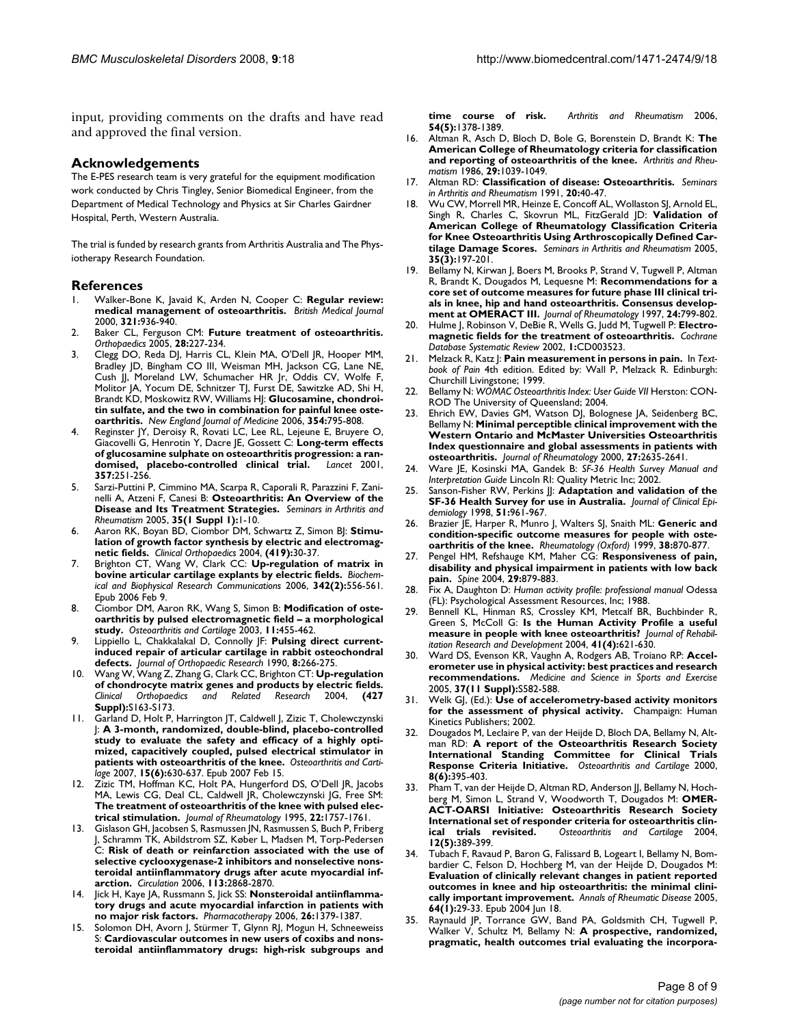input, providing comments on the drafts and have read and approved the final version.

#### **Acknowledgements**

The E-PES research team is very grateful for the equipment modification work conducted by Chris Tingley, Senior Biomedical Engineer, from the Department of Medical Technology and Physics at Sir Charles Gairdner Hospital, Perth, Western Australia.

The trial is funded by research grants from Arthritis Australia and The Physiotherapy Research Foundation.

#### **References**

- 1. Walker-Bone K, Javaid K, Arden N, Cooper C: **[Regular review:](http://www.ncbi.nlm.nih.gov/entrez/query.fcgi?cmd=Retrieve&db=PubMed&dopt=Abstract&list_uids=11030685) [medical management of osteoarthritis.](http://www.ncbi.nlm.nih.gov/entrez/query.fcgi?cmd=Retrieve&db=PubMed&dopt=Abstract&list_uids=11030685)** *British Medical Journal* 2000, **321:**936-940.
- 2. Baker CL, Ferguson CM: **Future treatment of osteoarthritis.** *Orthopaedics* 2005, **28:**227-234.
- 3. Clegg DO, Reda DJ, Harris CL, Klein MA, O'Dell JR, Hooper MM, Bradley JD, Bingham CO III, Weisman MH, Jackson CG, Lane NE, Cush JJ, Moreland LW, Schumacher HR Jr, Oddis CV, Wolfe F, Molitor JA, Yocum DE, Schnitzer TJ, Furst DE, Sawitzke AD, Shi H, Brandt KD, Moskowitz RW, Williams HJ: **[Glucosamine, chondroi](http://www.ncbi.nlm.nih.gov/entrez/query.fcgi?cmd=Retrieve&db=PubMed&dopt=Abstract&list_uids=16495392)[tin sulfate, and the two in combination for painful knee oste](http://www.ncbi.nlm.nih.gov/entrez/query.fcgi?cmd=Retrieve&db=PubMed&dopt=Abstract&list_uids=16495392)[oarthritis.](http://www.ncbi.nlm.nih.gov/entrez/query.fcgi?cmd=Retrieve&db=PubMed&dopt=Abstract&list_uids=16495392)** *New England Journal of Medicine* 2006, **354:**795-808.
- Reginster JY, Deroisy R, Rovati LC, Lee RL, Lejeune E, Bruyere O, Giacovelli G, Henrotin Y, Dacre JE, Gossett C: **[Long-term effects](http://www.ncbi.nlm.nih.gov/entrez/query.fcgi?cmd=Retrieve&db=PubMed&dopt=Abstract&list_uids=11214126) [of glucosamine sulphate on osteoarthritis progression: a ran](http://www.ncbi.nlm.nih.gov/entrez/query.fcgi?cmd=Retrieve&db=PubMed&dopt=Abstract&list_uids=11214126)**[domised, placebo-controlled clinical trial.](http://www.ncbi.nlm.nih.gov/entrez/query.fcgi?cmd=Retrieve&db=PubMed&dopt=Abstract&list_uids=11214126) **357:**251-256.
- 5. Sarzi-Puttini P, Cimmino MA, Scarpa R, Caporali R, Parazzini F, Zaninelli A, Atzeni F, Canesi B: **[Osteoarthritis: An Overview of the](http://www.ncbi.nlm.nih.gov/entrez/query.fcgi?cmd=Retrieve&db=PubMed&dopt=Abstract&list_uids=16084227) [Disease and Its Treatment Strategies.](http://www.ncbi.nlm.nih.gov/entrez/query.fcgi?cmd=Retrieve&db=PubMed&dopt=Abstract&list_uids=16084227)** *Seminars in Arthritis and Rheumatism* 2005, **35(1 Suppl 1):**1-10.
- Aaron RK, Boyan BD, Ciombor DM, Schwartz Z, Simon BJ: [Stimu](http://www.ncbi.nlm.nih.gov/entrez/query.fcgi?cmd=Retrieve&db=PubMed&dopt=Abstract&list_uids=15021128)**[lation of growth factor synthesis by electric and electromag](http://www.ncbi.nlm.nih.gov/entrez/query.fcgi?cmd=Retrieve&db=PubMed&dopt=Abstract&list_uids=15021128)[netic fields.](http://www.ncbi.nlm.nih.gov/entrez/query.fcgi?cmd=Retrieve&db=PubMed&dopt=Abstract&list_uids=15021128)** *Clinical Orthopaedics* 2004, **(419):**30-37.
- 7. Brighton CT, Wang W, Clark CC: **[Up-regulation of matrix in](http://www.ncbi.nlm.nih.gov/entrez/query.fcgi?cmd=Retrieve&db=PubMed&dopt=Abstract&list_uids=16487926) [bovine articular cartilage explants by electric fields.](http://www.ncbi.nlm.nih.gov/entrez/query.fcgi?cmd=Retrieve&db=PubMed&dopt=Abstract&list_uids=16487926)** *Biochemical and Biophysical Research Communications* 2006, **342(2):**556-561. Epub 2006 Feb 9.
- 8. Ciombor DM, Aaron RK, Wang S, Simon B: **Modification of osteoarthritis by pulsed electromagnetic field – a morphological study.** *Osteoarthritis and Cartilage* 2003, **11:**455-462.
- Lippiello L, Chakkalakal D, Connolly JF: [Pulsing direct current](http://www.ncbi.nlm.nih.gov/entrez/query.fcgi?cmd=Retrieve&db=PubMed&dopt=Abstract&list_uids=2303960)**[induced repair of articular cartilage in rabbit osteochondral](http://www.ncbi.nlm.nih.gov/entrez/query.fcgi?cmd=Retrieve&db=PubMed&dopt=Abstract&list_uids=2303960) [defects.](http://www.ncbi.nlm.nih.gov/entrez/query.fcgi?cmd=Retrieve&db=PubMed&dopt=Abstract&list_uids=2303960)** *Journal of Orthopaedic Research* 1990, **8:**266-275.
- 10. Wang W, Wang Z, Zhang G, Clark CC, Brighton CT: **[Up-regulation](http://www.ncbi.nlm.nih.gov/entrez/query.fcgi?cmd=Retrieve&db=PubMed&dopt=Abstract&list_uids=15480061) [of chondrocyte matrix genes and products by electric fields.](http://www.ncbi.nlm.nih.gov/entrez/query.fcgi?cmd=Retrieve&db=PubMed&dopt=Abstract&list_uids=15480061)** *Clinical Orthopaedics and Related Research* 2004, **(427 Suppl):**S163-S173.
- 11. Garland D, Holt P, Harrington JT, Caldwell J, Zizic T, Cholewczynski J: **[A 3-month, randomized, double-blind, placebo-controlled](http://www.ncbi.nlm.nih.gov/entrez/query.fcgi?cmd=Retrieve&db=PubMed&dopt=Abstract&list_uids=17303443) [study to evaluate the safety and efficacy of a highly opti](http://www.ncbi.nlm.nih.gov/entrez/query.fcgi?cmd=Retrieve&db=PubMed&dopt=Abstract&list_uids=17303443)mized, capacitively coupled, pulsed electrical stimulator in [patients with osteoarthritis of the knee.](http://www.ncbi.nlm.nih.gov/entrez/query.fcgi?cmd=Retrieve&db=PubMed&dopt=Abstract&list_uids=17303443)** *Osteoarthritis and Cartilage* 2007, **15(6):**630-637. Epub 2007 Feb 15.
- 12. Zizic TM, Hoffman KC, Holt PA, Hungerford DS, O'Dell JR, Jacobs MA, Lewis CG, Deal CL, Caldwell JR, Cholewczynski JG, Free SM: **[The treatment of osteoarthritis of the knee with pulsed elec](http://www.ncbi.nlm.nih.gov/entrez/query.fcgi?cmd=Retrieve&db=PubMed&dopt=Abstract&list_uids=8523357)[trical stimulation.](http://www.ncbi.nlm.nih.gov/entrez/query.fcgi?cmd=Retrieve&db=PubMed&dopt=Abstract&list_uids=8523357)** *Journal of Rheumatology* 1995, **22:**1757-1761.
- 13. Gislason GH, Jacobsen S, Rasmussen JN, Rasmussen S, Buch P, Friberg , Schramm TK, Abildstrom SZ, Køber L, Madsen M, Torp-Pedersen C: **[Risk of death or reinfarction associated with the use of](http://www.ncbi.nlm.nih.gov/entrez/query.fcgi?cmd=Retrieve&db=PubMed&dopt=Abstract&list_uids=16785335) [selective cyclooxygenase-2 inhibitors and nonselective nons](http://www.ncbi.nlm.nih.gov/entrez/query.fcgi?cmd=Retrieve&db=PubMed&dopt=Abstract&list_uids=16785335)teroidal antiinflammatory drugs after acute myocardial inf[arction.](http://www.ncbi.nlm.nih.gov/entrez/query.fcgi?cmd=Retrieve&db=PubMed&dopt=Abstract&list_uids=16785335)** *Circulation* 2006, **113:**2868-2870.
- 14. Jick H, Kaye JA, Russmann S, Jick SS: **[Nonsteroidal antiinflamma](http://www.ncbi.nlm.nih.gov/entrez/query.fcgi?cmd=Retrieve&db=PubMed&dopt=Abstract&list_uids=16999647)[tory drugs and acute myocardial infarction in patients with](http://www.ncbi.nlm.nih.gov/entrez/query.fcgi?cmd=Retrieve&db=PubMed&dopt=Abstract&list_uids=16999647) [no major risk factors.](http://www.ncbi.nlm.nih.gov/entrez/query.fcgi?cmd=Retrieve&db=PubMed&dopt=Abstract&list_uids=16999647)** *Pharmacotherapy* 2006, **26:**1379-1387.
- 15. Solomon DH, Avorn J, Stürmer T, Glynn RJ, Mogun H, Schneeweiss S: **[Cardiovascular outcomes in new users of coxibs and nons](http://www.ncbi.nlm.nih.gov/entrez/query.fcgi?cmd=Retrieve&db=PubMed&dopt=Abstract&list_uids=16645966)[teroidal antiinflammatory drugs: high-risk subgroups and](http://www.ncbi.nlm.nih.gov/entrez/query.fcgi?cmd=Retrieve&db=PubMed&dopt=Abstract&list_uids=16645966)**

**[time course of risk.](http://www.ncbi.nlm.nih.gov/entrez/query.fcgi?cmd=Retrieve&db=PubMed&dopt=Abstract&list_uids=16645966)** *Arthritis and Rheumatism* 2006, **54(5):**1378-1389.

- 16. Altman R, Asch D, Bloch D, Bole G, Borenstein D, Brandt K: **The American College of Rheumatology criteria for classification and reporting of osteoarthritis of the knee.** *Arthritis and Rheumatism* 1986, **29:**1039-1049.
- 17. Altman RD: **Classification of disease: Osteoarthritis.** *Seminars in Arthritis and Rheumatism* 1991, **20:**40-47.
- 18. Wu CW, Morrell MR, Heinze E, Concoff AL, Wollaston SJ, Arnold EL, Singh R, Charles C, Skovrun ML, FitzGerald JD: **[Validation of](http://www.ncbi.nlm.nih.gov/entrez/query.fcgi?cmd=Retrieve&db=PubMed&dopt=Abstract&list_uids=16325660) [American College of Rheumatology Classification Criteria](http://www.ncbi.nlm.nih.gov/entrez/query.fcgi?cmd=Retrieve&db=PubMed&dopt=Abstract&list_uids=16325660) for Knee Osteoarthritis Using Arthroscopically Defined Car[tilage Damage Scores.](http://www.ncbi.nlm.nih.gov/entrez/query.fcgi?cmd=Retrieve&db=PubMed&dopt=Abstract&list_uids=16325660)** *Seminars in Arthritis and Rheumatism* 2005, **35(3):**197-201.
- 19. Bellamy N, Kirwan J, Boers M, Brooks P, Strand V, Tugwell P, Altman R, Brandt K, Dougados M, Lequesne M: **[Recommendations for a](http://www.ncbi.nlm.nih.gov/entrez/query.fcgi?cmd=Retrieve&db=PubMed&dopt=Abstract&list_uids=9101522) [core set of outcome measures for future phase III clinical tri](http://www.ncbi.nlm.nih.gov/entrez/query.fcgi?cmd=Retrieve&db=PubMed&dopt=Abstract&list_uids=9101522)als in knee, hip and hand osteoarthritis. Consensus develop[ment at OMERACT III.](http://www.ncbi.nlm.nih.gov/entrez/query.fcgi?cmd=Retrieve&db=PubMed&dopt=Abstract&list_uids=9101522)** *Journal of Rheumatology* 1997, **24:**799-802.
- 20. Hulme J, Robinson V, DeBie R, Wells G, Judd M, Tugwell P: **Electromagnetic fields for the treatment of osteoarthritis.** *Cochrane Database Systematic Review* 2002, **1:**CD003523.
- 21. Melzack R, Katz J: **Pain measurement in persons in pain.** In *Textbook of Pain* 4th edition. Edited by: Wall P, Melzack R. Edinburgh: Churchill Livingstone; 1999.
- 22. Bellamy N: *WOMAC Osteoarthritis Index: User Guide VII* Herston: CON-ROD The University of Queensland; 2004.
- 23. Ehrich EW, Davies GM, Watson DJ, Bolognese JA, Seidenberg BC, Bellamy N: **[Minimal perceptible clinical improvement with the](http://www.ncbi.nlm.nih.gov/entrez/query.fcgi?cmd=Retrieve&db=PubMed&dopt=Abstract&list_uids=11093446) [Western Ontario and McMaster Universities Osteoarthritis](http://www.ncbi.nlm.nih.gov/entrez/query.fcgi?cmd=Retrieve&db=PubMed&dopt=Abstract&list_uids=11093446) Index questionnaire and global assessments in patients with [osteoarthritis.](http://www.ncbi.nlm.nih.gov/entrez/query.fcgi?cmd=Retrieve&db=PubMed&dopt=Abstract&list_uids=11093446)** *Journal of Rheumatology* 2000, **27:**2635-2641.
- 24. Ware JE, Kosinski MA, Gandek B: *SF-36 Health Survey Manual and Interpretation Guide* Lincoln RI: Quality Metric Inc; 2002.
- 25. Sanson-Fisher RW, Perkins JJ: **[Adaptation and validation of the](http://www.ncbi.nlm.nih.gov/entrez/query.fcgi?cmd=Retrieve&db=PubMed&dopt=Abstract&list_uids=9817113) [SF-36 Health Survey for use in Australia.](http://www.ncbi.nlm.nih.gov/entrez/query.fcgi?cmd=Retrieve&db=PubMed&dopt=Abstract&list_uids=9817113)** *Journal of Clinical Epidemiology* 1998, **51:**961-967.
- 26. Brazier JE, Harper R, Munro J, Walters SJ, Snaith ML: **[Generic and](http://www.ncbi.nlm.nih.gov/entrez/query.fcgi?cmd=Retrieve&db=PubMed&dopt=Abstract&list_uids=10515649) [condition-specific outcome measures for people with oste](http://www.ncbi.nlm.nih.gov/entrez/query.fcgi?cmd=Retrieve&db=PubMed&dopt=Abstract&list_uids=10515649)[oarthritis of the knee.](http://www.ncbi.nlm.nih.gov/entrez/query.fcgi?cmd=Retrieve&db=PubMed&dopt=Abstract&list_uids=10515649)** *Rheumatology (Oxford)* 1999, **38:**870-877.
- 27. Pengel HM, Refshauge KM, Maher CG: **[Responsiveness of pain,](http://www.ncbi.nlm.nih.gov/entrez/query.fcgi?cmd=Retrieve&db=PubMed&dopt=Abstract&list_uids=15082988) [disability and physical impairment in patients with low back](http://www.ncbi.nlm.nih.gov/entrez/query.fcgi?cmd=Retrieve&db=PubMed&dopt=Abstract&list_uids=15082988) [pain.](http://www.ncbi.nlm.nih.gov/entrez/query.fcgi?cmd=Retrieve&db=PubMed&dopt=Abstract&list_uids=15082988)** *Spine* 2004, **29:**879-883.
- 28. Fix A, Daughton D: *Human activity profile: professional manual* Odessa (FL): Psychological Assessment Resources, Inc; 1988.
- 29. Bennell KL, Hinman RS, Crossley KM, Metcalf BR, Buchbinder R, Green S, McColl G: **[Is the Human Activity Profile a useful](http://www.ncbi.nlm.nih.gov/entrez/query.fcgi?cmd=Retrieve&db=PubMed&dopt=Abstract&list_uids=15558390) [measure in people with knee osteoarthritis?](http://www.ncbi.nlm.nih.gov/entrez/query.fcgi?cmd=Retrieve&db=PubMed&dopt=Abstract&list_uids=15558390)** *Journal of Rehabilitation Research and Development* 2004, **41(4):**621-630.
- 30. Ward DS, Evenson KR, Vaughn A, Rodgers AB, Troiano RP: **[Accel](http://www.ncbi.nlm.nih.gov/entrez/query.fcgi?cmd=Retrieve&db=PubMed&dopt=Abstract&list_uids=16294121)[erometer use in physical activity: best practices and research](http://www.ncbi.nlm.nih.gov/entrez/query.fcgi?cmd=Retrieve&db=PubMed&dopt=Abstract&list_uids=16294121) [recommendations.](http://www.ncbi.nlm.nih.gov/entrez/query.fcgi?cmd=Retrieve&db=PubMed&dopt=Abstract&list_uids=16294121)** *Medicine and Science in Sports and Exercise* 2005, **37(11 Suppl):**S582-588.
- 31. Welk GJ, (Ed.): **Use of accelerometry-based activity monitors for the assessment of physical activity.** Champaign: Human Kinetics Publishers; 2002.
- Dougados M, Leclaire P, van der Heijde D, Bloch DA, Bellamy N, Altman RD: **[A report of the Osteoarthritis Research Society](http://www.ncbi.nlm.nih.gov/entrez/query.fcgi?cmd=Retrieve&db=PubMed&dopt=Abstract&list_uids=11069723) [International Standing Committee for Clinical Trials](http://www.ncbi.nlm.nih.gov/entrez/query.fcgi?cmd=Retrieve&db=PubMed&dopt=Abstract&list_uids=11069723) [Response Criteria Initiative.](http://www.ncbi.nlm.nih.gov/entrez/query.fcgi?cmd=Retrieve&db=PubMed&dopt=Abstract&list_uids=11069723)** *Osteoarthritis and Cartilage* 2000, **8(6):**395-403.
- 33. Pham T, van der Heijde D, Altman RD, Anderson JJ, Bellamy N, Hochberg M, Simon L, Strand V, Woodworth T, Dougados M: **[OMER-](http://www.ncbi.nlm.nih.gov/entrez/query.fcgi?cmd=Retrieve&db=PubMed&dopt=Abstract&list_uids=15094138)[ACT-OARSI Initiative: Osteoarthritis Research Society](http://www.ncbi.nlm.nih.gov/entrez/query.fcgi?cmd=Retrieve&db=PubMed&dopt=Abstract&list_uids=15094138) International set of responder criteria for osteoarthritis clin[ical trials revisited.](http://www.ncbi.nlm.nih.gov/entrez/query.fcgi?cmd=Retrieve&db=PubMed&dopt=Abstract&list_uids=15094138)** *Osteoarthritis and Cartilage* 2004, **12(5):**389-399.
- Tubach F, Ravaud P, Baron G, Falissard B, Logeart I, Bellamy N, Bombardier C, Felson D, Hochberg M, van der Heijde D, Dougados M: **[Evaluation of clinically relevant changes in patient reported](http://www.ncbi.nlm.nih.gov/entrez/query.fcgi?cmd=Retrieve&db=PubMed&dopt=Abstract&list_uids=15208174) outcomes in knee and hip osteoarthritis: the minimal clini[cally important improvement.](http://www.ncbi.nlm.nih.gov/entrez/query.fcgi?cmd=Retrieve&db=PubMed&dopt=Abstract&list_uids=15208174)** *Annals of Rheumatic Disease* 2005, **64(1):**29-33. Epub 2004 Jun 18.
- Raynauld JP, Torrance GW, Band PA, Goldsmith CH, Tugwell P, Walker V, Schultz M, Bellamy N: **[A prospective, randomized,](http://www.ncbi.nlm.nih.gov/entrez/query.fcgi?cmd=Retrieve&db=PubMed&dopt=Abstract&list_uids=12127830) [pragmatic, health outcomes trial evaluating the incorpora](http://www.ncbi.nlm.nih.gov/entrez/query.fcgi?cmd=Retrieve&db=PubMed&dopt=Abstract&list_uids=12127830)-**